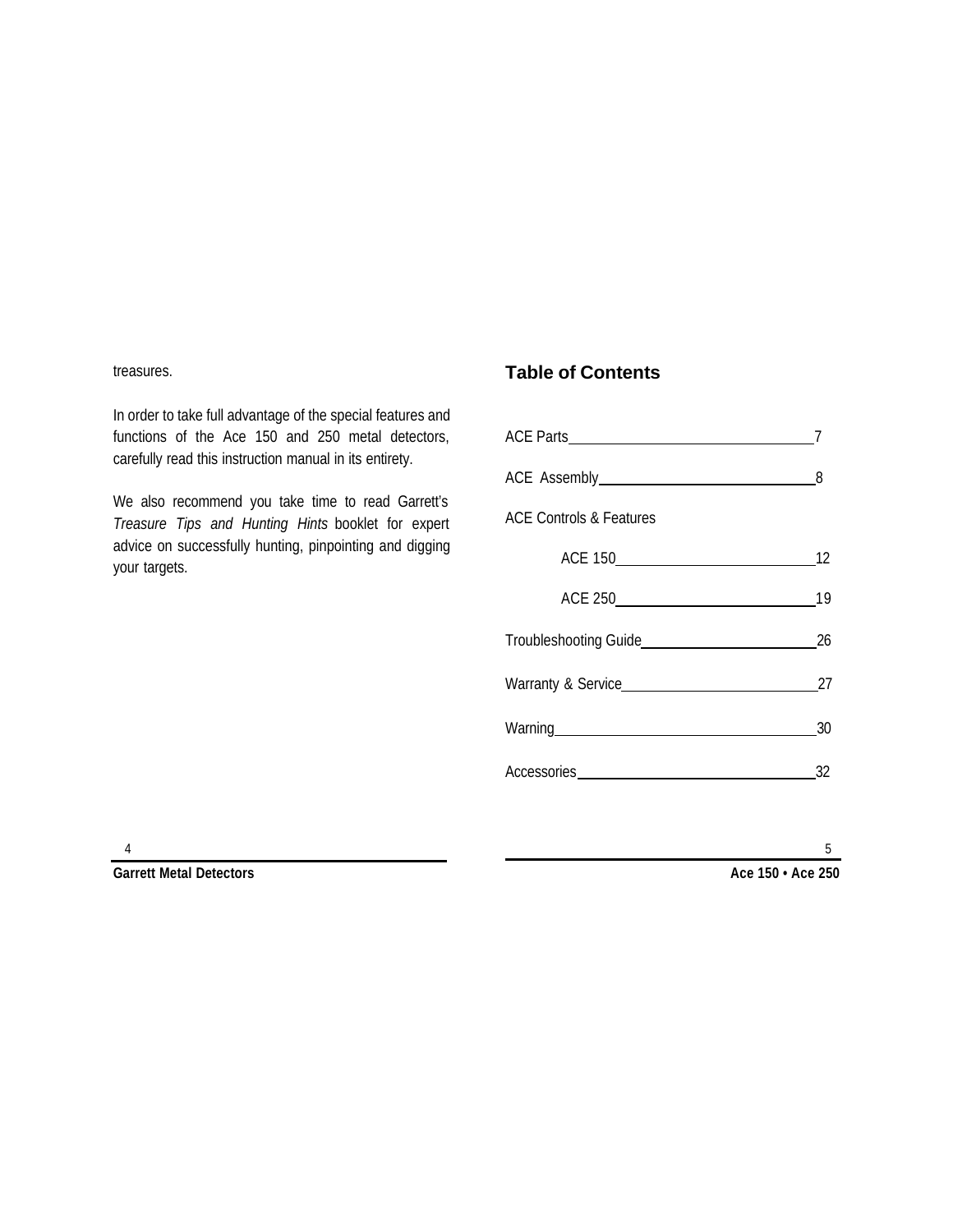#### treasures.

In order to take full advantage of the special features and functions of the Ace 150 and 250 metal detectors, carefully read this instruction manual in its entirety.

We also recommend you take time to read Garrett's *Treasure Tips and Hunting Hints* booklet for expert advice on successfully hunting, pinpointing and digging your targets.

### **Table of Contents**

| <b>ACE Controls &amp; Features</b>                                                                                                                                                                                             |    |  |
|--------------------------------------------------------------------------------------------------------------------------------------------------------------------------------------------------------------------------------|----|--|
|                                                                                                                                                                                                                                | 12 |  |
|                                                                                                                                                                                                                                | 19 |  |
|                                                                                                                                                                                                                                |    |  |
|                                                                                                                                                                                                                                |    |  |
| Warning Management and the contract of the contract of the contract of the contract of the contract of the contract of the contract of the contract of the contract of the contract of the contract of the contract of the con | 30 |  |
| Accessories Management Contains a management of the set of the set of the set of the set of the set of the set of the set of the set of the set of the set of the set of the set of the set of the set of the set of the set o | 32 |  |

**Garrett Metal Detectors**

**Ace 150 • Ace 250**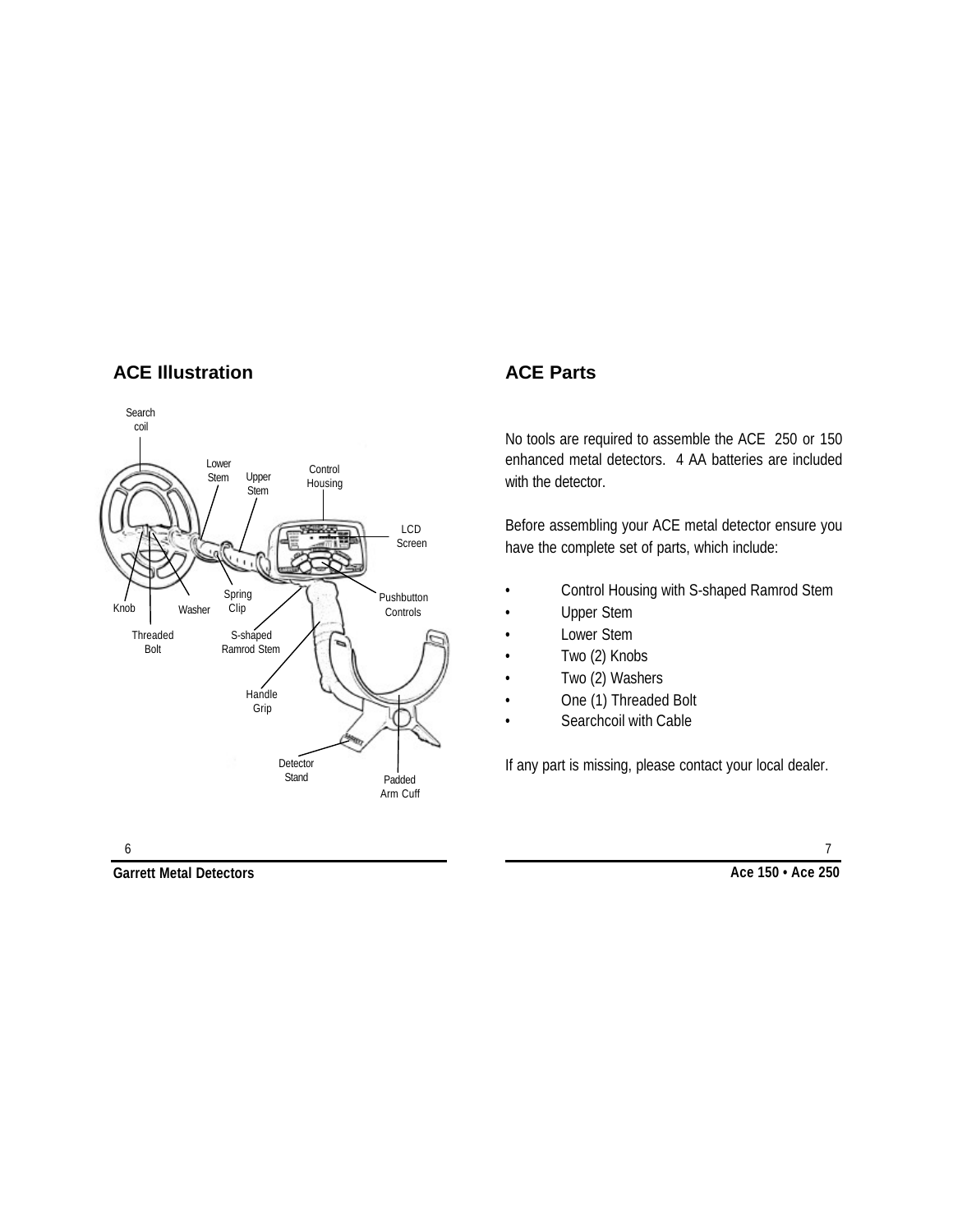### **ACE Illustration**



# **ACE Parts**

No tools are required to assemble the ACE 250 or 150 enhanced metal detectors. 4 AA batteries are included with the detector.

Before assembling your ACE metal detector ensure you have the complete set of parts, which include:

- Control Housing with S-shaped Ramrod Stem
- Upper Stem
- Lower Stem
- Two (2) Knobs
- Two (2) Washers
- One (1) Threaded Bolt
- Searchcoil with Cable

If any part is missing, please contact your local dealer.

**Garrett Metal Detectors Ace 150 • Ace 250**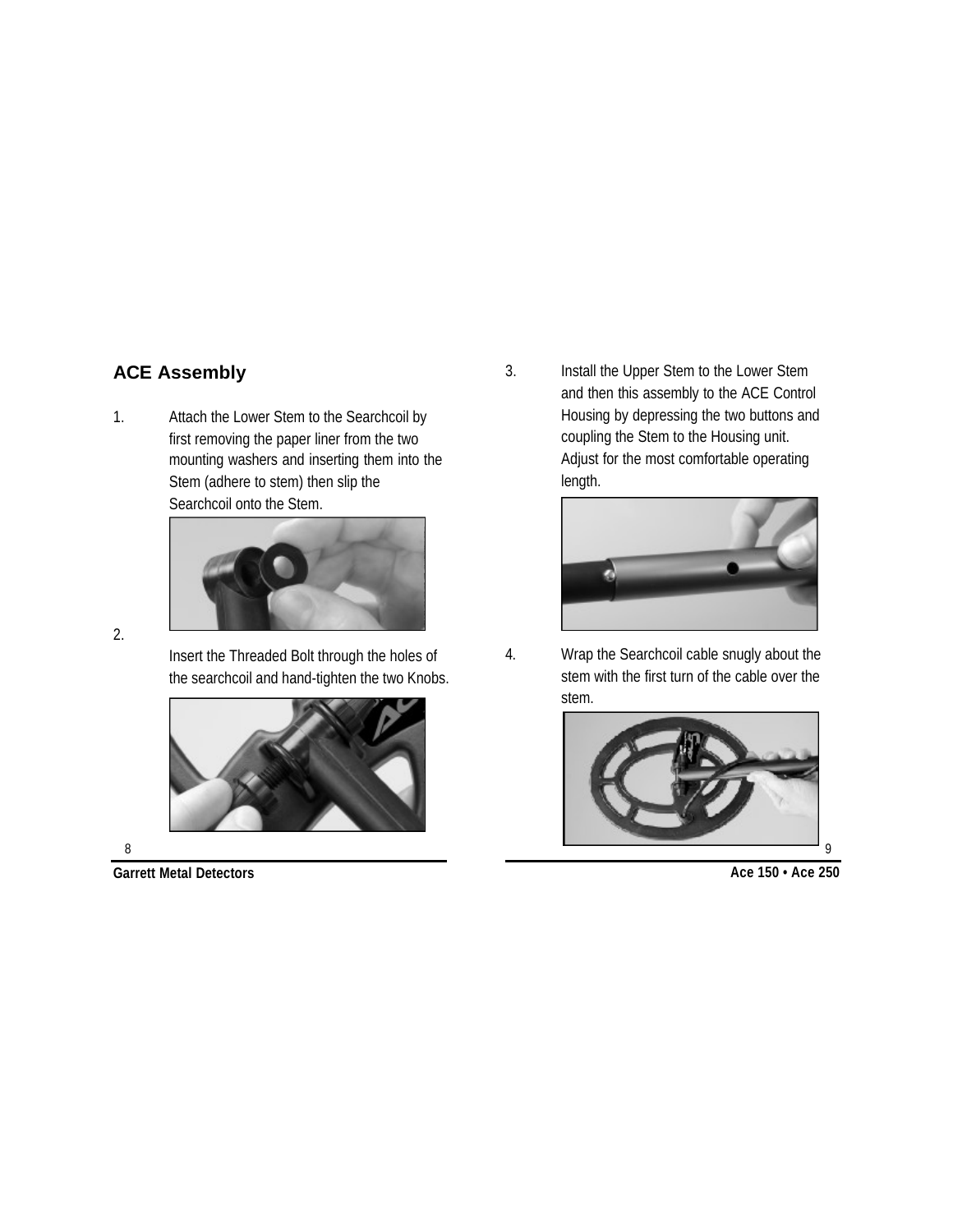# **ACE Assembly**

1. Attach the Lower Stem to the Searchcoil by first removing the paper liner from the two mounting washers and inserting them into the Stem (adhere to stem) then slip the Searchcoil onto the Stem.



2.

Insert the Threaded Bolt through the holes of the searchcoil and hand-tighten the two Knobs.



8

3. Install the Upper Stem to the Lower Stem and then this assembly to the ACE Control Housing by depressing the two buttons and coupling the Stem to the Housing unit. Adjust for the most comfortable operating length.



4. Wrap the Searchcoil cable snugly about the stem with the first turn of the cable over the stem.



9

**Garrett Metal Detectors Ace 150 • Ace 250**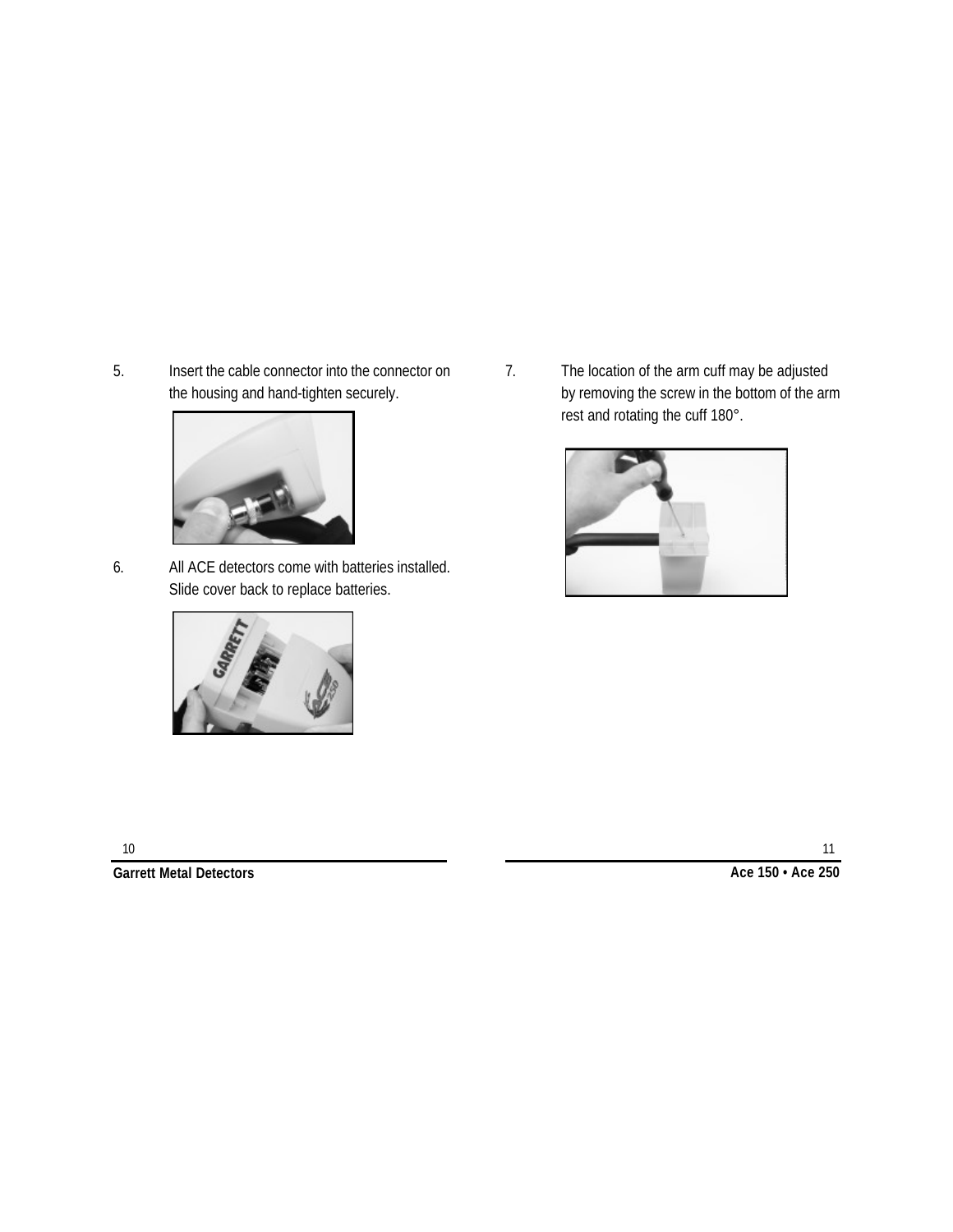5. Insert the cable connector into the connector on the housing and hand-tighten securely.



6. All ACE detectors come with batteries installed. Slide cover back to replace batteries.



7. The location of the arm cuff may be adjusted by removing the screw in the bottom of the arm rest and rotating the cuff 180°.



**Garrett Metal Detectors Ace 150 • Ace 250**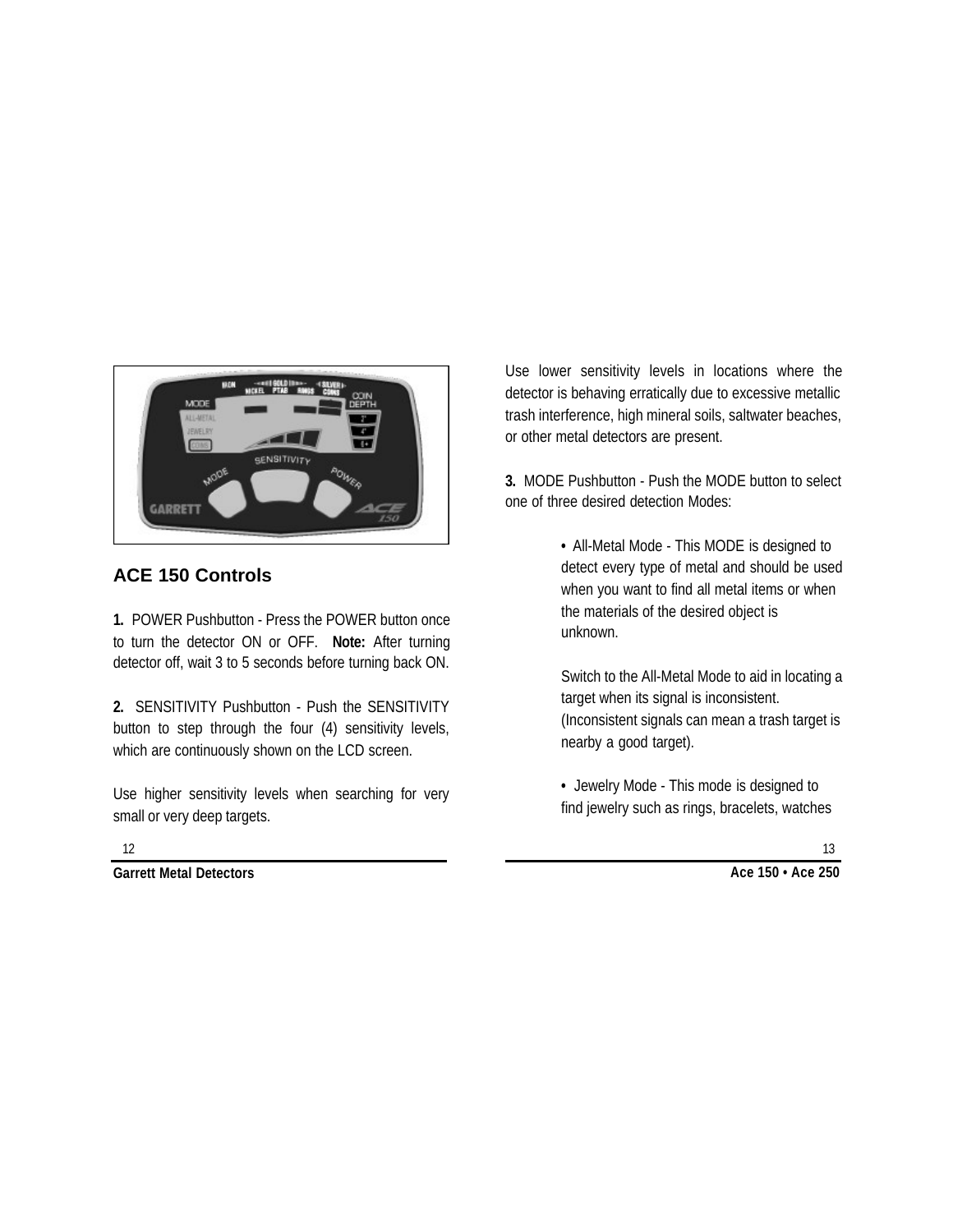

# **ACE 150 Controls**

**1.** POWER Pushbutton - Press the POWER button once to turn the detector ON or OFF. **Note:** After turning detector off, wait 3 to 5 seconds before turning back ON.

**2.** SENSITIVITY Pushbutton - Push the SENSITIVITY button to step through the four (4) sensitivity levels, which are continuously shown on the LCD screen.

Use higher sensitivity levels when searching for very small or very deep targets.

Use lower sensitivity levels in locations where the detector is behaving erratically due to excessive metallic trash interference, high mineral soils, saltwater beaches, or other metal detectors are present.

**3.** MODE Pushbutton - Push the MODE button to select one of three desired detection Modes:

> **•** All-Metal Mode - This MODE is designed to detect every type of metal and should be used when you want to find all metal items or when the materials of the desired object is unknown.

> Switch to the All-Metal Mode to aid in locating a target when its signal is inconsistent. (Inconsistent signals can mean a trash target is nearby a good target).

**•** Jewelry Mode - This mode is designed to find jewelry such as rings, bracelets, watches

12

**Garrett Metal Detectors Ace 150 • Ace 250**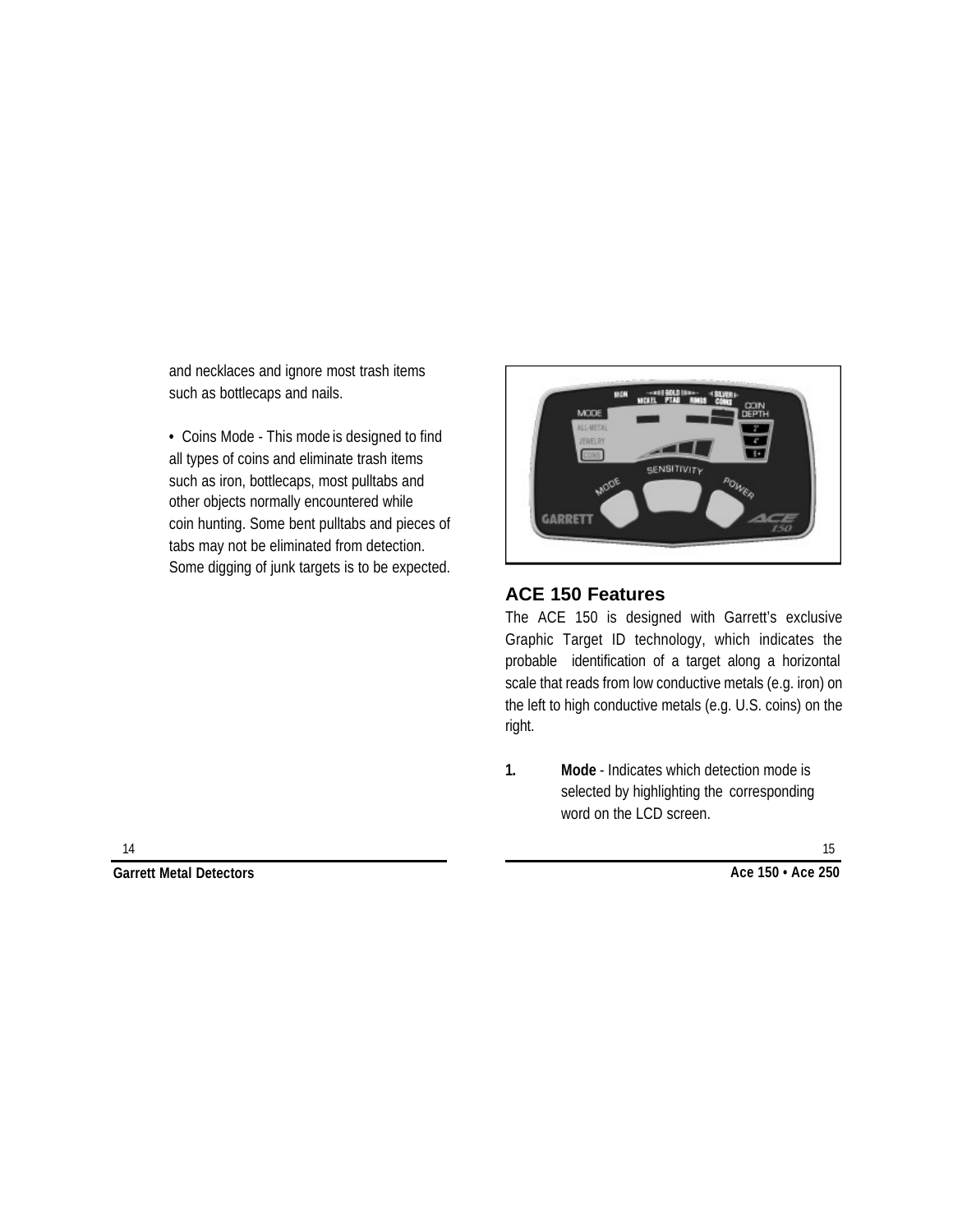and necklaces and ignore most trash items such as bottlecaps and nails.

**•** Coins Mode - This mode is designed to find all types of coins and eliminate trash items such as iron, bottlecaps, most pulltabs and other objects normally encountered while coin hunting. Some bent pulltabs and pieces of tabs may not be eliminated from detection. Some digging of junk targets is to be expected.



### **ACE 150 Features**

The ACE 150 is designed with Garrett's exclusive Graphic Target ID technology, which indicates the probable identification of a target along a horizontal scale that reads from low conductive metals (e.g. iron) on the left to high conductive metals (e.g. U.S. coins) on the right.

**1. Mode** - Indicates which detection mode is selected by highlighting the corresponding word on the LCD screen.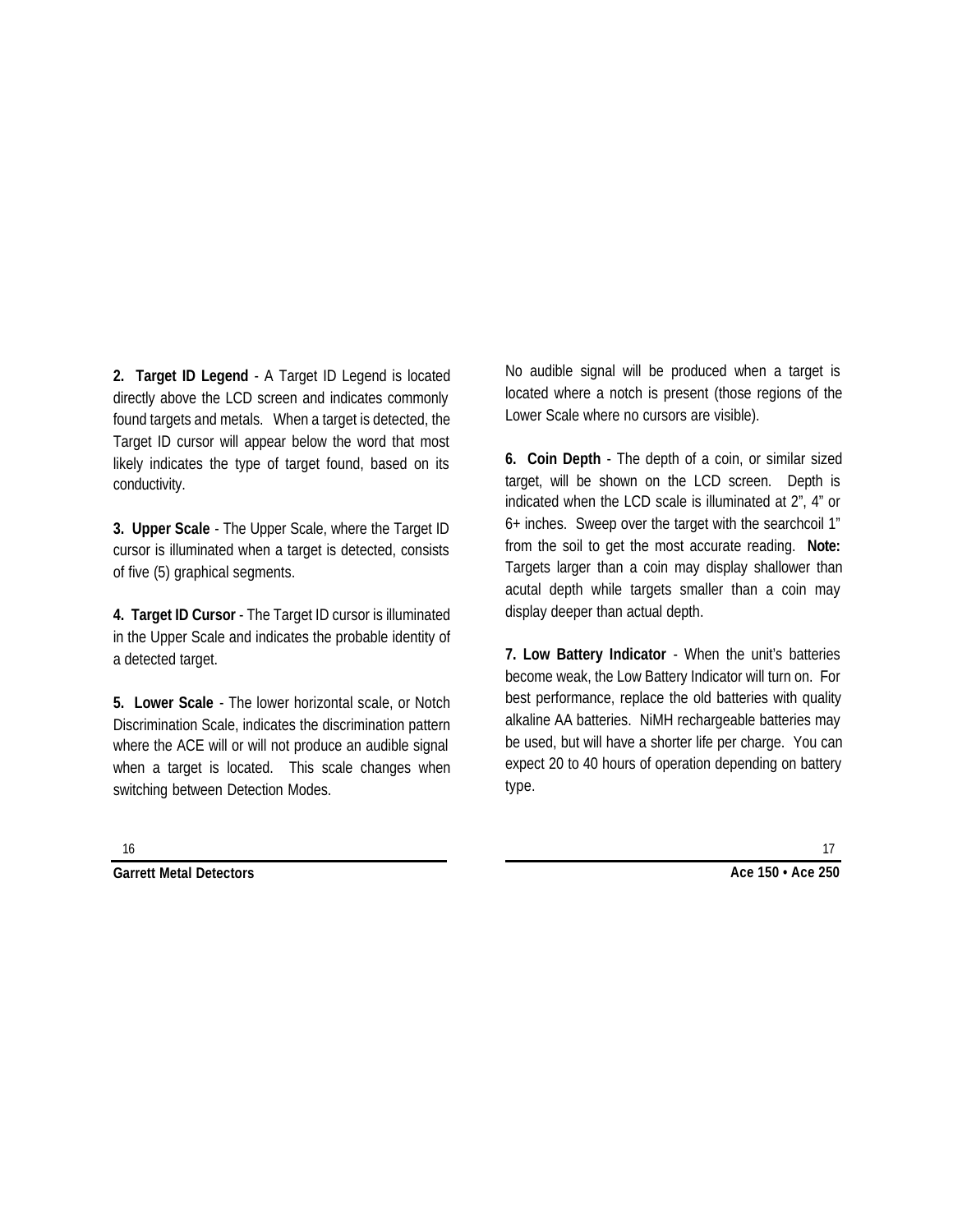**2. Target ID Legend** - A Target ID Legend is located directly above the LCD screen and indicates commonly found targets and metals. When a target is detected, the Target ID cursor will appear below the word that most likely indicates the type of target found, based on its conductivity.

**3. Upper Scale** - The Upper Scale, where the Target ID cursor is illuminated when a target is detected, consists of five (5) graphical segments.

**4. Target ID Cursor** - The Target ID cursor is illuminated in the Upper Scale and indicates the probable identity of a detected target.

**5. Lower Scale** - The lower horizontal scale, or Notch Discrimination Scale, indicates the discrimination pattern where the ACE will or will not produce an audible signal when a target is located. This scale changes when switching between Detection Modes.

No audible signal will be produced when a target is located where a notch is present (those regions of the Lower Scale where no cursors are visible).

**6. Coin Depth** - The depth of a coin, or similar sized target, will be shown on the LCD screen. Depth is indicated when the LCD scale is illuminated at 2", 4" or 6+ inches. Sweep over the target with the searchcoil 1" from the soil to get the most accurate reading. **Note:** Targets larger than a coin may display shallower than acutal depth while targets smaller than a coin may display deeper than actual depth.

**7. Low Battery Indicator** - When the unit's batteries become weak, the Low Battery Indicator will turn on. For best performance, replace the old batteries with quality alkaline AA batteries. NiMH rechargeable batteries may be used, but will have a shorter life per charge. You can expect 20 to 40 hours of operation depending on battery type.

**Garrett Metal Detectors Ace 150 • Ace 250**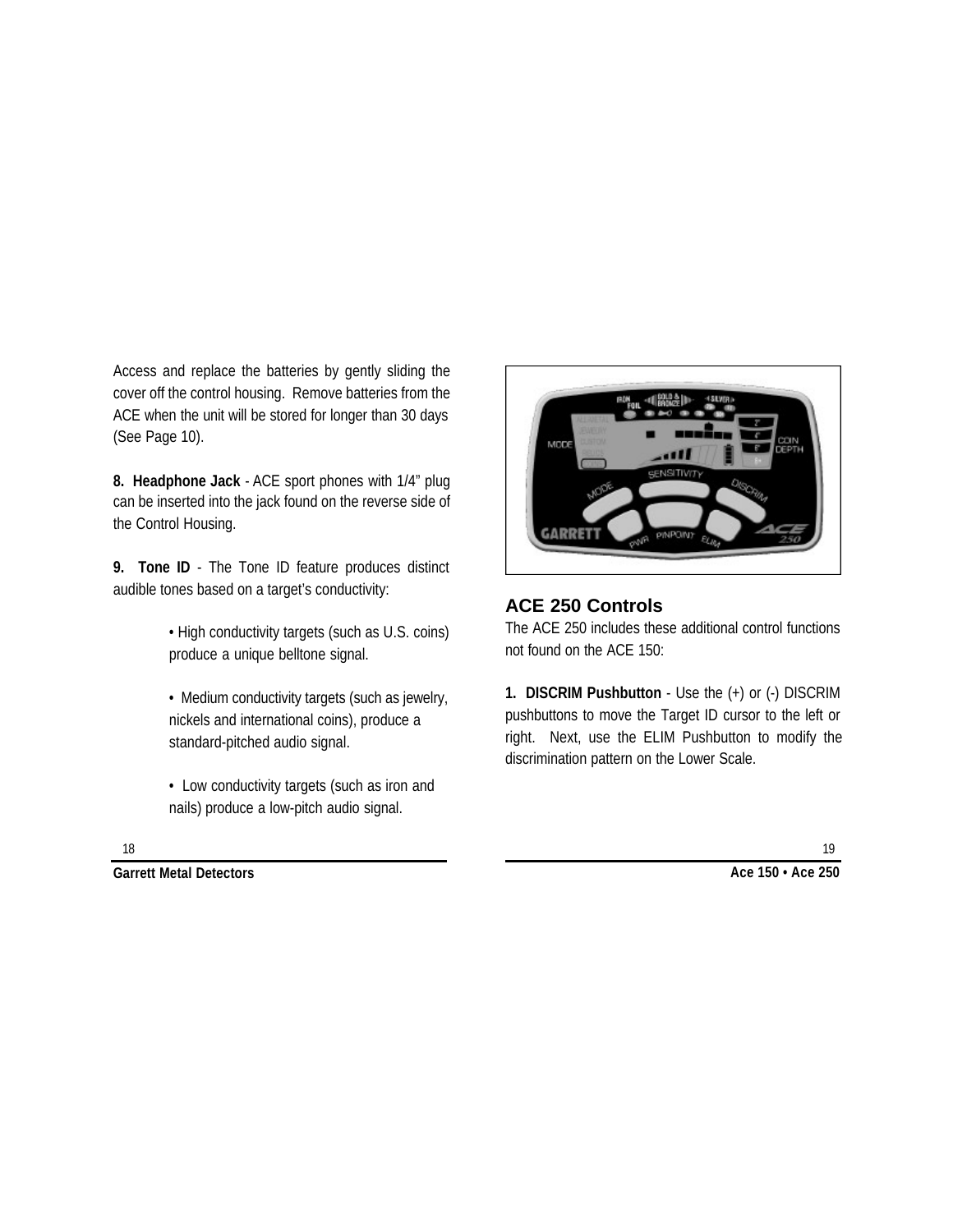Access and replace the batteries by gently sliding the cover off the control housing. Remove batteries from the ACE when the unit will be stored for longer than 30 days (See Page 10).

**8. Headphone Jack** - ACE sport phones with 1/4" plug can be inserted into the jack found on the reverse side of the Control Housing.

**9. Tone ID** - The Tone ID feature produces distinct audible tones based on a target's conductivity:

> • High conductivity targets (such as U.S. coins) produce a unique belltone signal.

> • Medium conductivity targets (such as jewelry, nickels and international coins), produce a standard-pitched audio signal.

• Low conductivity targets (such as iron and nails) produce a low-pitch audio signal.



# **ACE 250 Controls**

The ACE 250 includes these additional control functions not found on the ACE 150:

**1. DISCRIM Pushbutton** - Use the (+) or (-) DISCRIM pushbuttons to move the Target ID cursor to the left or right. Next, use the ELIM Pushbutton to modify the discrimination pattern on the Lower Scale.

**Garrett Metal Detectors Ace 150 • Ace 250**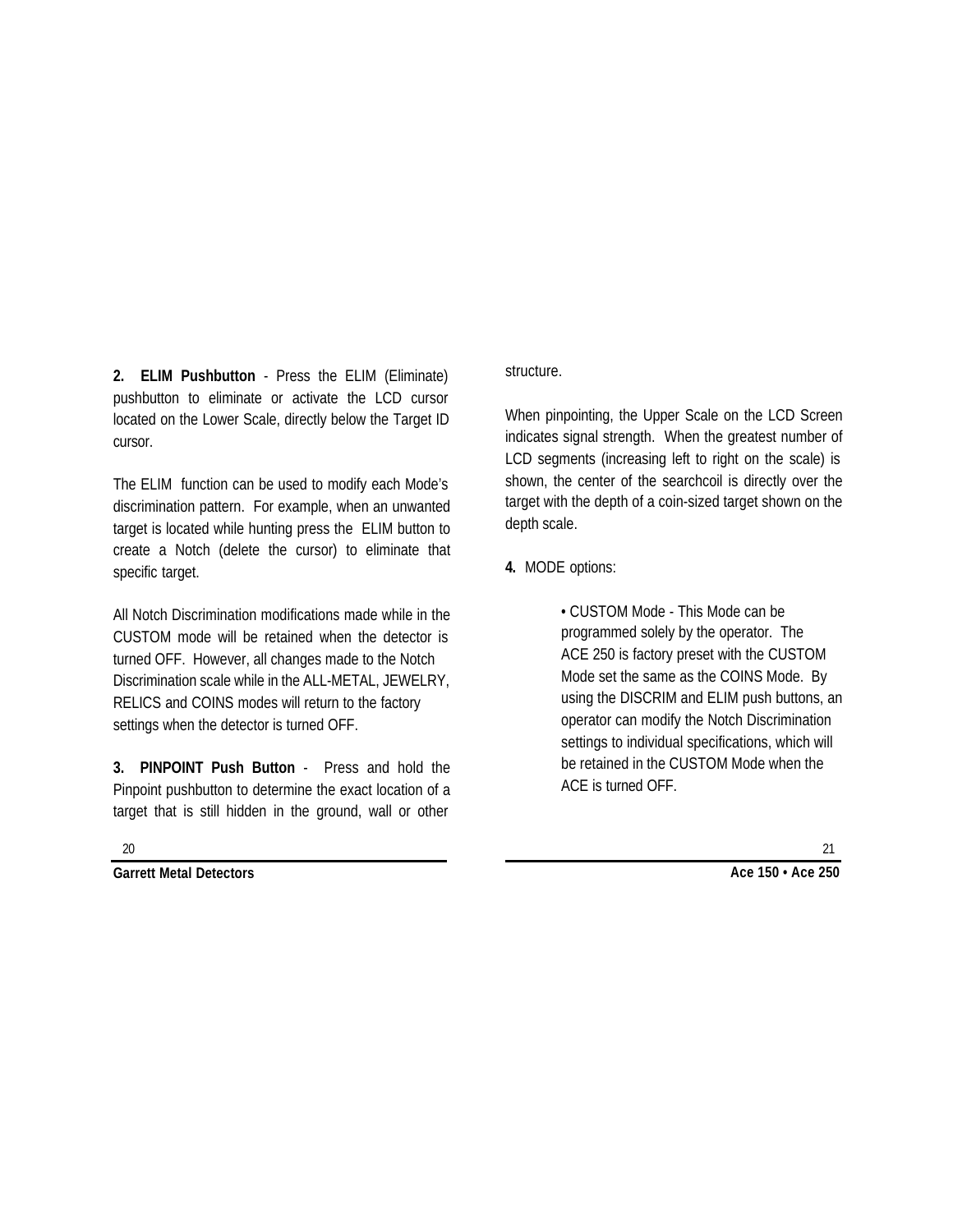**2. ELIM Pushbutton** - Press the ELIM (Eliminate) pushbutton to eliminate or activate the LCD cursor located on the Lower Scale, directly below the Target ID cursor.

The ELIM function can be used to modify each Mode's discrimination pattern. For example, when an unwanted target is located while hunting press the ELIM button to create a Notch (delete the cursor) to eliminate that specific target.

All Notch Discrimination modifications made while in the CUSTOM mode will be retained when the detector is turned OFF. However, all changes made to the Notch Discrimination scale while in the ALL-METAL, JEWELRY, RELICS and COINS modes will return to the factory settings when the detector is turned OFF.

**3. PINPOINT Push Button** - Press and hold the Pinpoint pushbutton to determine the exact location of a target that is still hidden in the ground, wall or other

structure.

When pinpointing, the Upper Scale on the LCD Screen indicates signal strength. When the greatest number of LCD segments (increasing left to right on the scale) is shown, the center of the searchcoil is directly over the target with the depth of a coin-sized target shown on the depth scale.

**4.** MODE options:

• CUSTOM Mode - This Mode can be programmed solely by the operator. The ACE 250 is factory preset with the CUSTOM Mode set the same as the COINS Mode. By using the DISCRIM and ELIM push buttons, an operator can modify the Notch Discrimination settings to individual specifications, which will be retained in the CUSTOM Mode when the ACE is turned OFF.

20

**Garrett Metal Detectors Ace 150 • Ace 250**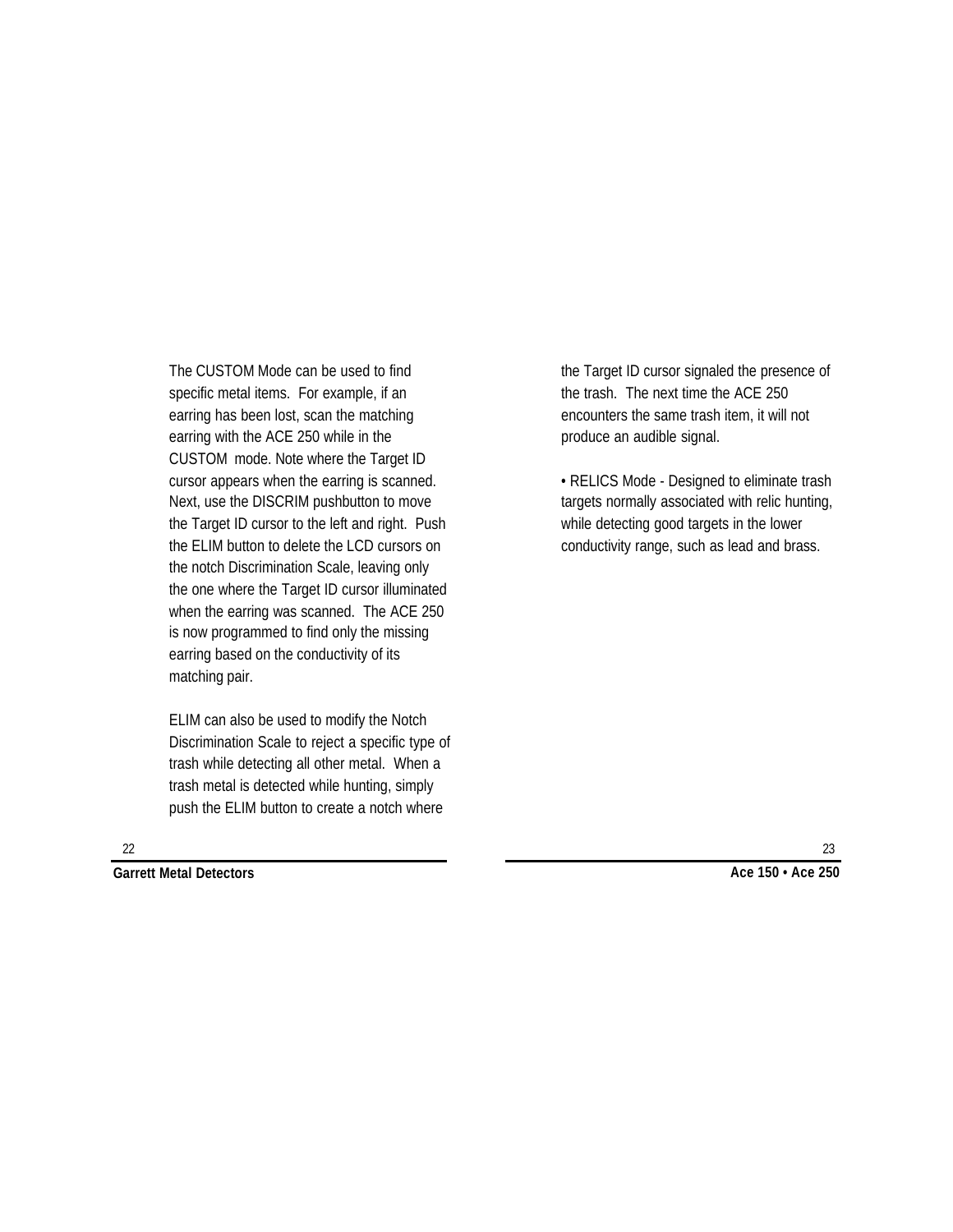The CUSTOM Mode can be used to find specific metal items. For example, if an earring has been lost, scan the matching earring with the ACE 250 while in the CUSTOM mode. Note where the Target ID cursor appears when the earring is scanned. Next, use the DISCRIM pushbutton to move the Target ID cursor to the left and right. Push the ELIM button to delete the LCD cursors on the notch Discrimination Scale, leaving only the one where the Target ID cursor illuminated when the earring was scanned. The ACE 250 is now programmed to find only the missing earring based on the conductivity of its matching pair.

ELIM can also be used to modify the Notch Discrimination Scale to reject a specific type of trash while detecting all other metal. When a trash metal is detected while hunting, simply push the ELIM button to create a notch where

the Target ID cursor signaled the presence of the trash. The next time the ACE 250 encounters the same trash item, it will not produce an audible signal.

• RELICS Mode - Designed to eliminate trash targets normally associated with relic hunting, while detecting good targets in the lower conductivity range, such as lead and brass.

22

**Garrett Metal Detectors Ace 150 • Ace 250**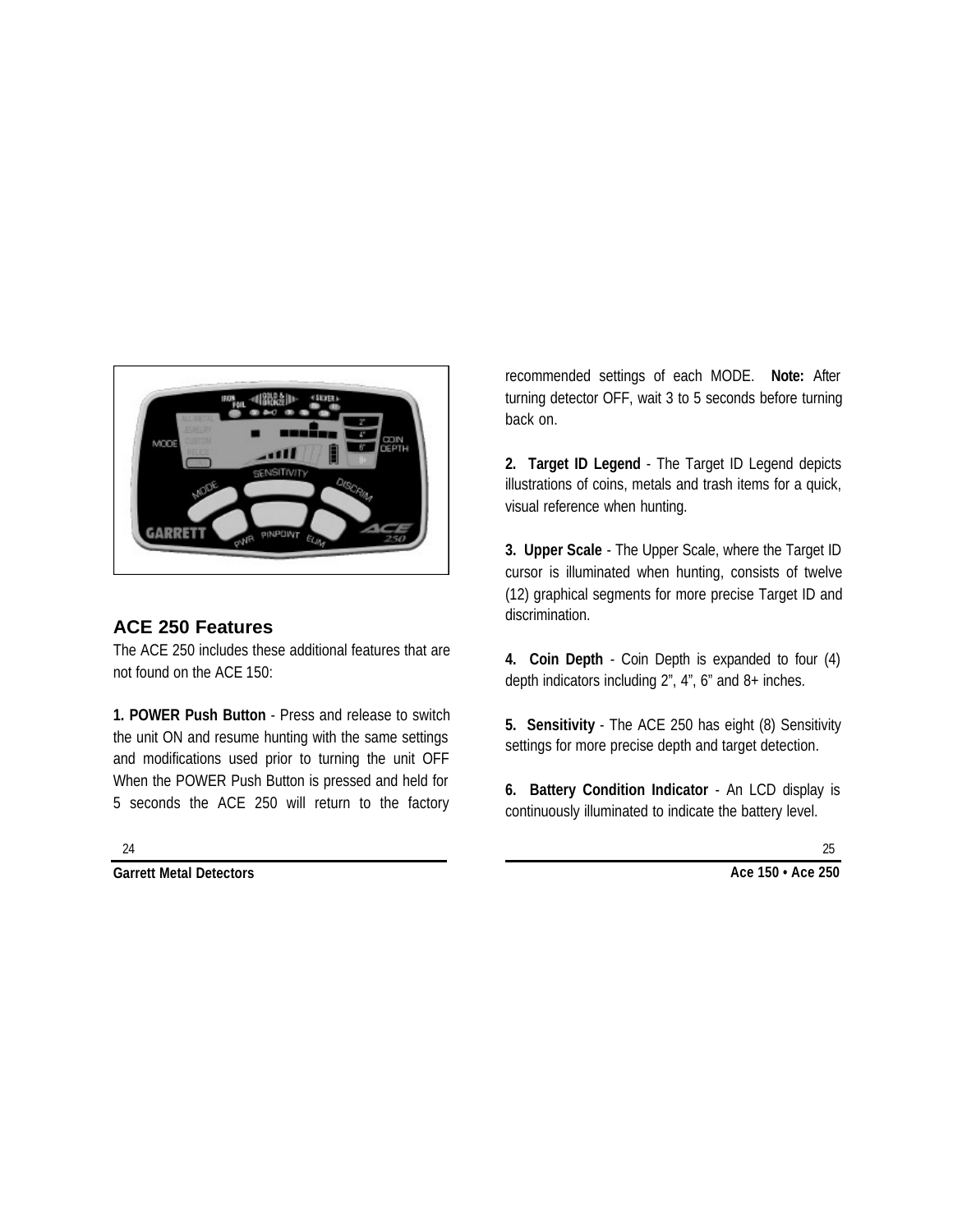

# **ACE 250 Features**

The ACE 250 includes these additional features that are not found on the ACE 150:

**1. POWER Push Button** - Press and release to switch the unit ON and resume hunting with the same settings and modifications used prior to turning the unit OFF When the POWER Push Button is pressed and held for 5 seconds the ACE 250 will return to the factory

recommended settings of each MODE. **Note:** After turning detector OFF, wait 3 to 5 seconds before turning back on.

**2. Target ID Legend** - The Target ID Legend depicts illustrations of coins, metals and trash items for a quick, visual reference when hunting.

**3. Upper Scale** - The Upper Scale, where the Target ID cursor is illuminated when hunting, consists of twelve (12) graphical segments for more precise Target ID and discrimination.

**4. Coin Depth** - Coin Depth is expanded to four (4) depth indicators including 2", 4", 6" and 8+ inches.

**5. Sensitivity** - The ACE 250 has eight (8) Sensitivity settings for more precise depth and target detection.

**6. Battery Condition Indicator** - An LCD display is continuously illuminated to indicate the battery level.

24

**Garrett Metal Detectors**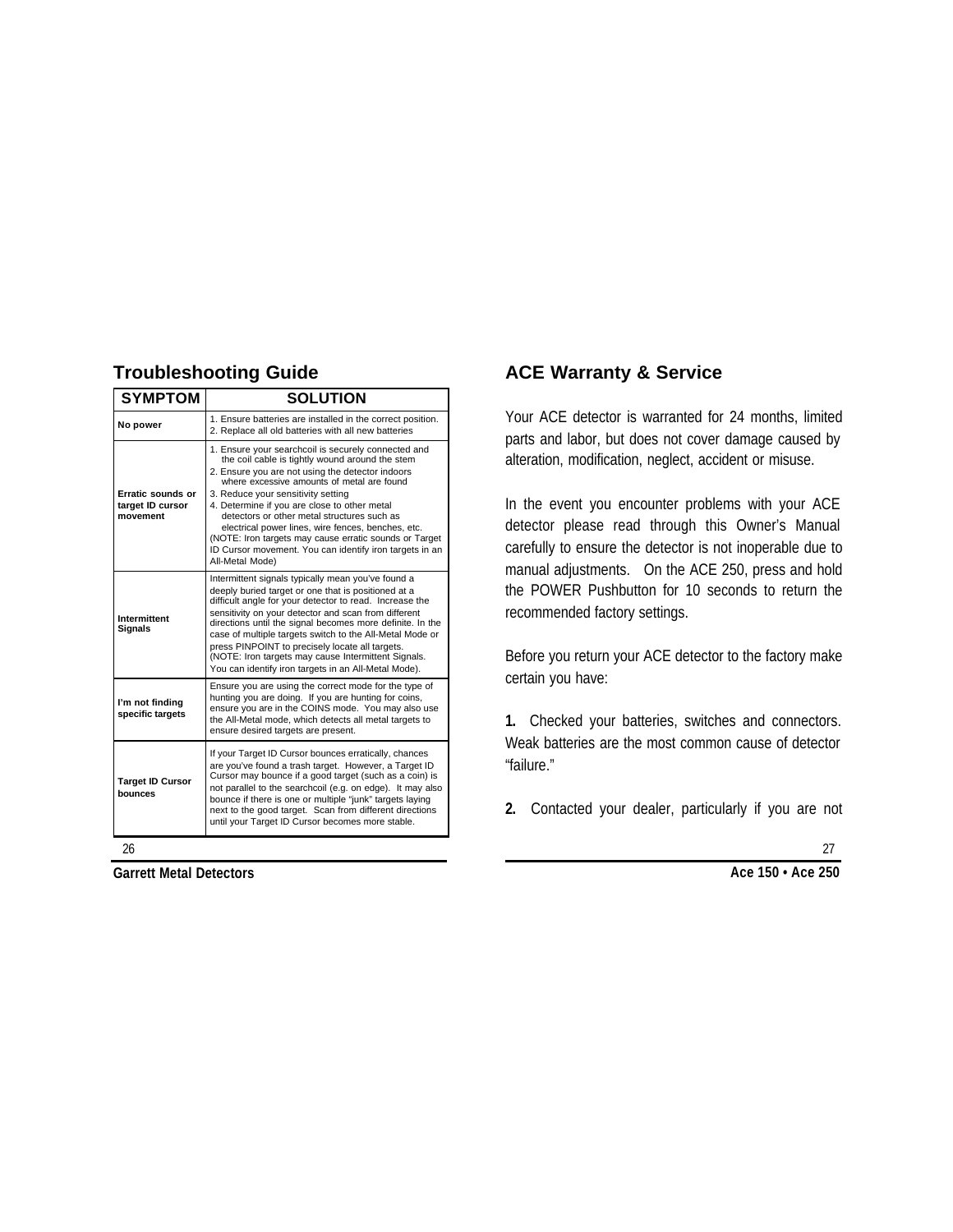# **Troubleshooting Guide**

| <b>SYMPTOM</b>                                    | <b>SOLUTION</b>                                                                                                                                                                                                                                                                                                                                                                                                                                                                                                                             |
|---------------------------------------------------|---------------------------------------------------------------------------------------------------------------------------------------------------------------------------------------------------------------------------------------------------------------------------------------------------------------------------------------------------------------------------------------------------------------------------------------------------------------------------------------------------------------------------------------------|
| No power                                          | 1. Ensure batteries are installed in the correct position.<br>2. Replace all old batteries with all new batteries                                                                                                                                                                                                                                                                                                                                                                                                                           |
| Erratic sounds or<br>target ID cursor<br>movement | 1. Ensure your searchcoil is securely connected and<br>the coil cable is tightly wound around the stem<br>2. Ensure you are not using the detector indoors<br>where excessive amounts of metal are found<br>3. Reduce your sensitivity setting<br>4. Determine if you are close to other metal<br>detectors or other metal structures such as<br>electrical power lines, wire fences, benches, etc.<br>(NOTE: Iron targets may cause erratic sounds or Target<br>ID Cursor movement. You can identify iron targets in an<br>All-Metal Mode) |
| Intermittent<br><b>Signals</b>                    | Intermittent signals typically mean you've found a<br>deeply buried target or one that is positioned at a<br>difficult angle for your detector to read. Increase the<br>sensitivity on your detector and scan from different<br>directions until the signal becomes more definite. In the<br>case of multiple targets switch to the All-Metal Mode or<br>press PINPOINT to precisely locate all targets.<br>(NOTE: Iron targets may cause Intermittent Signals.<br>You can identify iron targets in an All-Metal Mode).                     |
| I'm not finding<br>specific targets               | Ensure you are using the correct mode for the type of<br>hunting you are doing. If you are hunting for coins,<br>ensure you are in the COINS mode. You may also use<br>the All-Metal mode, which detects all metal targets to<br>ensure desired targets are present.                                                                                                                                                                                                                                                                        |
| <b>Target ID Cursor</b><br>hounces                | If your Target ID Cursor bounces erratically, chances<br>are you've found a trash target. However, a Target ID<br>Cursor may bounce if a good target (such as a coin) is<br>not parallel to the searchcoil (e.g. on edge). It may also<br>bounce if there is one or multiple "junk" targets laying<br>next to the good target. Scan from different directions<br>until your Target ID Cursor becomes more stable.                                                                                                                           |

# **ACE Warranty & Service**

Your ACE detector is warranted for 24 months, limited parts and labor, but does not cover damage caused by alteration, modification, neglect, accident or misuse.

In the event you encounter problems with your ACE detector please read through this Owner's Manual carefully to ensure the detector is not inoperable due to manual adjustments. On the ACE 250, press and hold the POWER Pushbutton for 10 seconds to return the recommended factory settings.

Before you return your ACE detector to the factory make certain you have:

**1.** Checked your batteries, switches and connectors. Weak batteries are the most common cause of detector "failure."

**2.** Contacted your dealer, particularly if you are not

26

**Garrett Metal Detectors**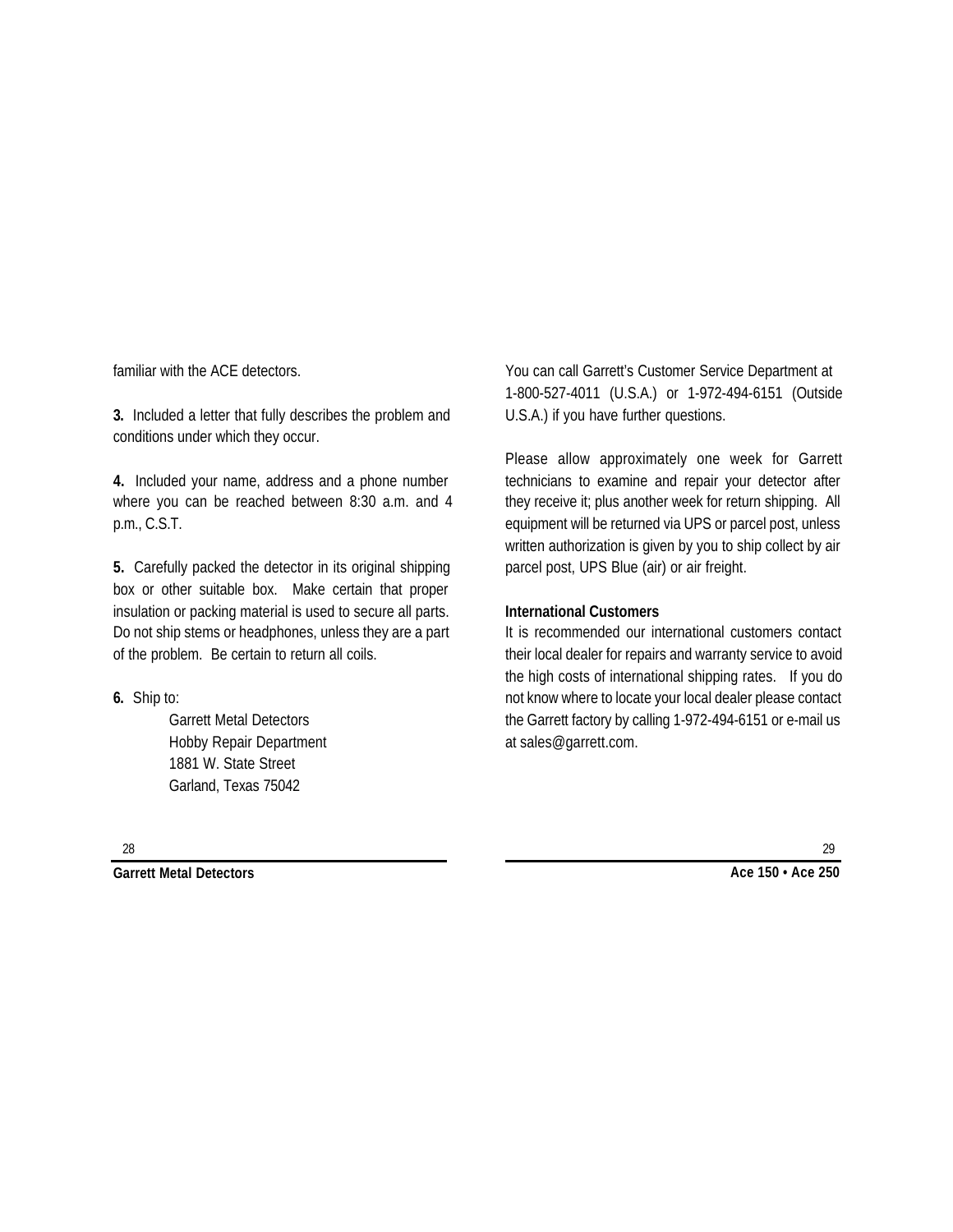familiar with the ACE detectors.

**3.** Included a letter that fully describes the problem and conditions under which they occur.

**4.** Included your name, address and a phone number where you can be reached between 8:30 a.m. and 4 p.m., C.S.T.

**5.** Carefully packed the detector in its original shipping box or other suitable box. Make certain that proper insulation or packing material is used to secure all parts. Do not ship stems or headphones, unless they are a part of the problem. Be certain to return all coils.

**6.** Ship to:

Garrett Metal Detectors Hobby Repair Department 1881 W. State Street Garland, Texas 75042

You can call Garrett's Customer Service Department at 1-800-527-4011 (U.S.A.) or 1-972-494-6151 (Outside U.S.A.) if you have further questions.

Please allow approximately one week for Garrett technicians to examine and repair your detector after they receive it; plus another week for return shipping. All equipment will be returned via UPS or parcel post, unless written authorization is given by you to ship collect by air parcel post, UPS Blue (air) or air freight.

#### **International Customers**

It is recommended our international customers contact their local dealer for repairs and warranty service to avoid the high costs of international shipping rates. If you do not know where to locate your local dealer please contact the Garrett factory by calling 1-972-494-6151 or e-mail us at sales@garrett.com.

28

**Garrett Metal Detectors**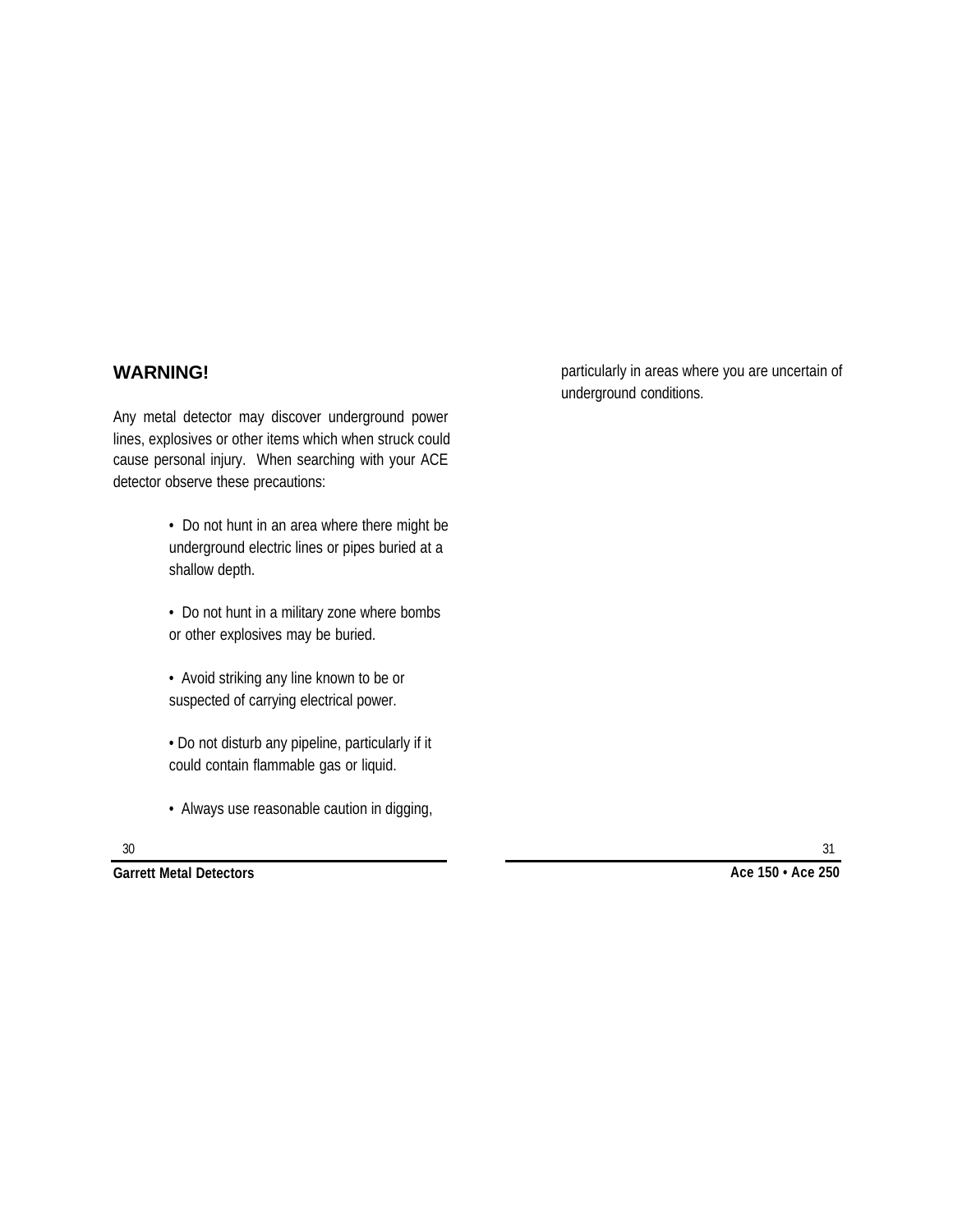### **WARNING!**

Any metal detector may discover underground power lines, explosives or other items which when struck could cause personal injury. When searching with your ACE detector observe these precautions:

- Do not hunt in an area where there might be underground electric lines or pipes buried at a shallow depth.
- Do not hunt in a military zone where bombs or other explosives may be buried.
- Avoid striking any line known to be or suspected of carrying electrical power.
- Do not disturb any pipeline, particularly if it could contain flammable gas or liquid.
- Always use reasonable caution in digging,

particularly in areas where you are uncertain of underground conditions.

**Garrett Metal Detectors**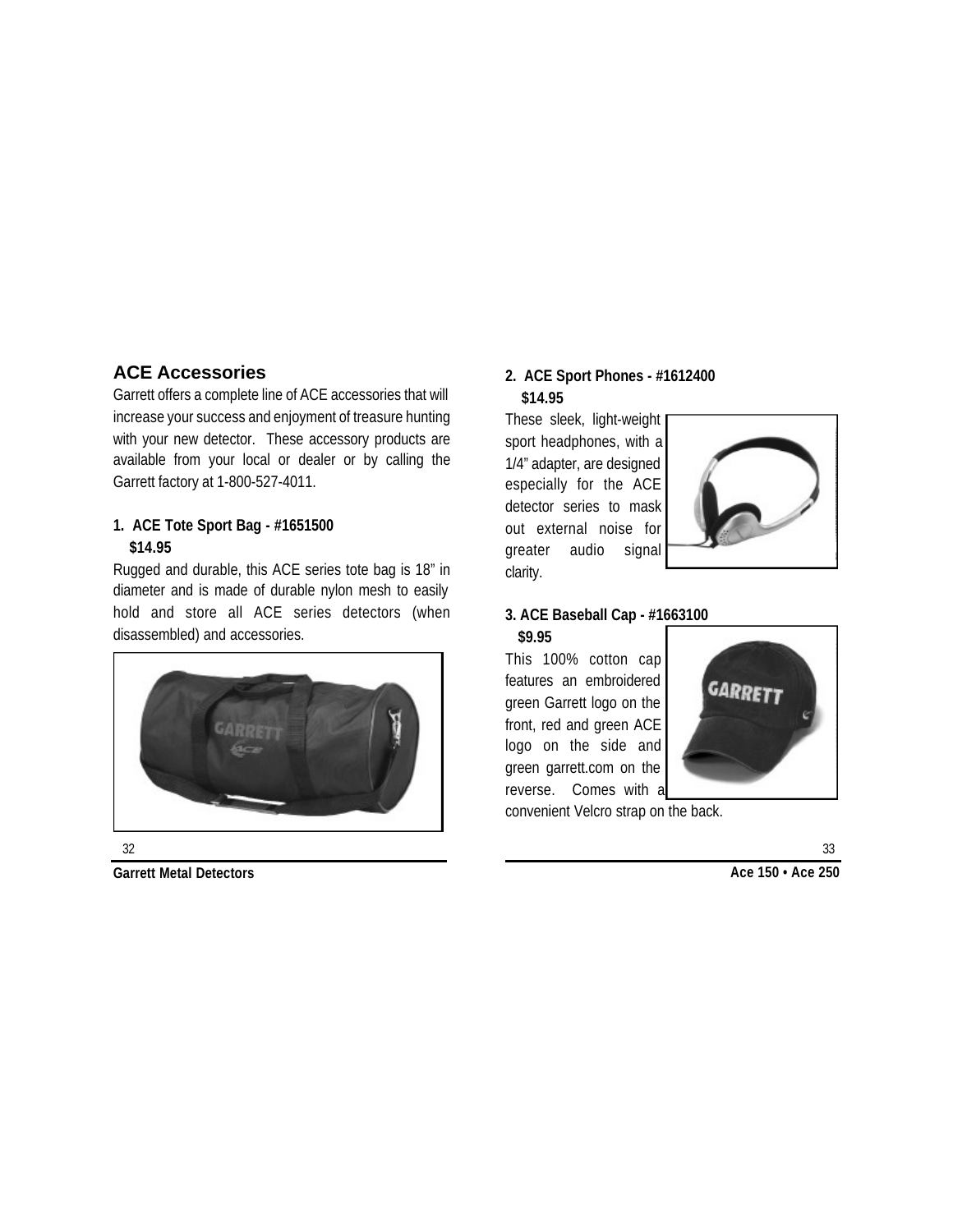# **ACE Accessories**

Garrett offers a complete line of ACE accessories that will increase your success and enjoyment of treasure hunting with your new detector. These accessory products are available from your local or dealer or by calling the Garrett factory at 1-800-527-4011.

### **1. ACE Tote Sport Bag - #1651500 \$14.95**

Rugged and durable, this ACE series tote bag is 18" in diameter and is made of durable nylon mesh to easily hold and store all ACE series detectors (when disassembled) and accessories.



#### 32

**Garrett Metal Detectors**

### **2. ACE Sport Phones - #1612400 \$14.95**

These sleek, light-weight sport headphones, with a 1/4" adapter, are designed especially for the ACE detector series to mask out external noise for greater audio signal clarity.



### **3. ACE Baseball Cap - #1663100 \$9.95**

This 100% cotton cap features an embroidered green Garrett logo on the front, red and green ACE logo on the side and green garrett.com on the reverse. Comes with a



convenient Velcro strap on the back.

**Ace 150 • Ace 250**